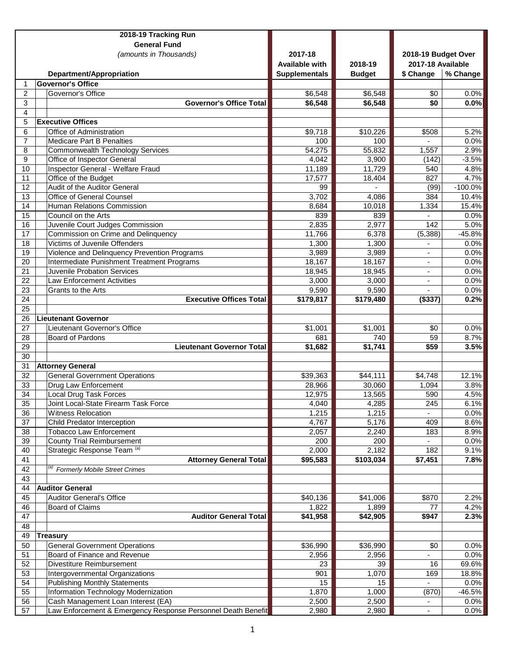|                 | 2018-19 Tracking Run                                                    |                       |                    |                     |                |
|-----------------|-------------------------------------------------------------------------|-----------------------|--------------------|---------------------|----------------|
|                 | <b>General Fund</b>                                                     |                       |                    |                     |                |
|                 | (amounts in Thousands)                                                  | 2017-18               |                    | 2018-19 Budget Over |                |
|                 |                                                                         | <b>Available with</b> | 2018-19            | 2017-18 Available   |                |
|                 | Department/Appropriation                                                | <b>Supplementals</b>  | <b>Budget</b>      | \$ Change           | % Change       |
| 1               | <b>Governor's Office</b>                                                |                       |                    |                     |                |
| $\overline{2}$  | Governor's Office                                                       | \$6,548               | \$6,548            | \$0                 | 0.0%           |
| 3               | <b>Governor's Office Total</b>                                          | \$6,548               | \$6,548            | \$0                 | 0.0%           |
| 4               |                                                                         |                       |                    |                     |                |
| 5               | <b>Executive Offices</b>                                                |                       |                    |                     |                |
| 6               | Office of Administration                                                | \$9,718               | \$10,226           | \$508               | 5.2%           |
| $\overline{7}$  | <b>Medicare Part B Penalties</b>                                        | 100                   | 100                |                     | 0.0%           |
| 8               | <b>Commonwealth Technology Services</b>                                 | 54,275                | 55,832             | 1,557               | 2.9%           |
| 9               | Office of Inspector General                                             | 4,042                 | 3,900              | (142)               | $-3.5%$        |
| 10              | Inspector General - Welfare Fraud                                       | 11,189                | 11,729             | 540                 | 4.8%           |
| 11              | Office of the Budget                                                    | 17,577                | 18,404             | 827                 | 4.7%           |
| 12              | Audit of the Auditor General                                            | 99                    |                    | (99)                | $-100.0%$      |
| 13              | <b>Office of General Counsel</b>                                        | 3,702                 | 4,086              | 384                 | 10.4%          |
| 14              | Human Relations Commission                                              | 8,684                 | 10,018             | 1,334               | 15.4%          |
| 15              | Council on the Arts                                                     | 839                   | 839                |                     | 0.0%           |
| 16              | Juvenile Court Judges Commission                                        | 2,835                 | 2,977              | 142                 | 5.0%           |
| 17              | Commission on Crime and Delinquency                                     | 11,766                | 6,378              | (5, 388)            | $-45.8%$       |
| 18              | Victims of Juvenile Offenders                                           | 1,300                 | 1,300              |                     | 0.0%           |
| $\overline{19}$ | Violence and Delinquency Prevention Programs                            | 3,989                 | 3,989              |                     | 0.0%           |
| 20              | Intermediate Punishment Treatment Programs                              | 18,167                | 18,167             | $\blacksquare$      | 0.0%           |
| 21              | <b>Juvenile Probation Services</b>                                      | 18,945                | 18,945             |                     | 0.0%           |
| 22              | <b>Law Enforcement Activities</b>                                       | 3,000                 | 3,000              |                     | 0.0%           |
| 23              | Grants to the Arts                                                      | 9,590                 | 9,590              |                     | 0.0%           |
| 24              | <b>Executive Offices Total</b>                                          | \$179,817             | \$179,480          | (\$337)             | 0.2%           |
| 25              |                                                                         |                       |                    |                     |                |
| 26              | <b>Lieutenant Governor</b>                                              |                       |                    |                     |                |
| 27              | Lieutenant Governor's Office                                            | $\overline{$}1,001$   | \$1,001            | \$0                 | 0.0%           |
| 28              | <b>Board of Pardons</b>                                                 | 681                   | 740                | 59                  | 8.7%           |
| 29              | <b>Lieutenant Governor Total</b>                                        | \$1,682               | \$1,741            | \$59                | 3.5%           |
| $\overline{30}$ |                                                                         |                       |                    |                     |                |
| 31              | <b>Attorney General</b>                                                 |                       |                    |                     |                |
| 32              | <b>General Government Operations</b>                                    | \$39,363              | \$44,111           | \$4,748             | 12.1%          |
| 33              | Drug Law Enforcement                                                    | 28,966                | 30,060             | 1,094               | 3.8%           |
| 34              | <b>Local Drug Task Forces</b>                                           | 12,975                | 13,565             | 590                 | 4.5%           |
| 35              | Joint Local-State Firearm Task Force                                    | 4,040                 | 4,285              | 245                 | 6.1%           |
| 36              | <b>Witness Relocation</b>                                               | 1,215                 | 1,215              |                     | 0.0%           |
| 37              | Child Predator Interception                                             | 4,767                 | 5,176              | 409                 | 8.6%           |
| 38              | <b>Tobacco Law Enforcement</b><br><b>County Trial Reimbursement</b>     | 2,057                 | 2,240              | 183                 | 8.9%           |
| 39              | Strategic Response Team (a)                                             | 200                   | 200                |                     | 0.0%           |
| 40<br>41        | <b>Attorney General Total</b>                                           | 2,000<br>\$95,583     | 2,182<br>\$103,034 | 182<br>\$7,451      | 9.1%<br>7.8%   |
| 42              | Formerly Mobile Street Crimes                                           |                       |                    |                     |                |
| 43              |                                                                         |                       |                    |                     |                |
| 44              | <b>Auditor General</b>                                                  |                       |                    |                     |                |
| 45              | <b>Auditor General's Office</b>                                         | \$40,136              | \$41,006           | \$870               |                |
| 46              | <b>Board of Claims</b>                                                  | 1,822                 | 1,899              | 77                  | 2.2%<br>4.2%   |
| 47              | <b>Auditor General Total</b>                                            | \$41,958              | \$42,905           | \$947               | 2.3%           |
| 48              |                                                                         |                       |                    |                     |                |
| 49              | Treasury                                                                |                       |                    |                     |                |
| 50              |                                                                         |                       |                    |                     |                |
| 51              | <b>General Government Operations</b><br>Board of Finance and Revenue    | \$36,990              | \$36,990           | \$0                 | 0.0%           |
| 52              | Divestiture Reimbursement                                               | 2,956                 | 2,956              |                     | 0.0%           |
| 53              |                                                                         | 23<br>901             | 39<br>1,070        | 16<br>169           | 69.6%<br>18.8% |
| 54              | Intergovernmental Organizations<br><b>Publishing Monthly Statements</b> | 15                    | 15                 |                     | 0.0%           |
| $\overline{55}$ | Information Technology Modernization                                    | 1,870                 | 1,000              | (870)               | $-46.5%$       |
| 56              | Cash Management Loan Interest (EA)                                      | 2,500                 | 2,500              |                     | 0.0%           |
| 57              | Law Enforcement & Emergency Response Personnel Death Benefit            | 2,980                 | 2,980              | $\blacksquare$      | 0.0%           |
|                 |                                                                         |                       |                    |                     |                |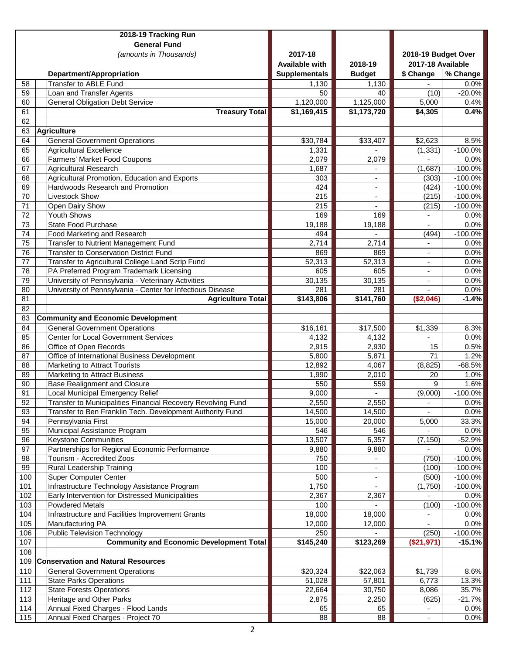|                 | 2018-19 Tracking Run                                                              |                       |                                |                          |                        |
|-----------------|-----------------------------------------------------------------------------------|-----------------------|--------------------------------|--------------------------|------------------------|
|                 | <b>General Fund</b>                                                               |                       |                                |                          |                        |
|                 | (amounts in Thousands)                                                            | 2017-18               |                                | 2018-19 Budget Over      |                        |
|                 |                                                                                   | <b>Available with</b> | 2018-19                        | 2017-18 Available        |                        |
|                 | Department/Appropriation                                                          | <b>Supplementals</b>  | <b>Budget</b>                  | \$ Change                | % Change               |
| 58              | <b>Transfer to ABLE Fund</b>                                                      | 1,130                 | 1,130                          |                          | 0.0%                   |
| $\overline{59}$ | Loan and Transfer Agents                                                          | 50                    | 40                             | (10)                     | $-20.0%$               |
| 60              | <b>General Obligation Debt Service</b>                                            | 1,120,000             | 1,125,000                      | 5,000                    | 0.4%                   |
| 61              | <b>Treasury Total</b>                                                             | \$1,169,415           | \$1,173,720                    | \$4,305                  | 0.4%                   |
| 62              |                                                                                   |                       |                                |                          |                        |
| 63              | <b>Agriculture</b>                                                                |                       |                                |                          |                        |
| 64              | General Government Operations                                                     | \$30,784              | \$33,407                       | \$2,623                  | 8.5%                   |
| 65              | Agricultural Excellence                                                           | 1,331                 |                                | (1, 331)                 | $-100.0\%$             |
| 66              | Farmers' Market Food Coupons                                                      | 2,079                 | 2,079                          | $\blacksquare$           | 0.0%                   |
| 67              | Agricultural Research                                                             | 1,687                 |                                | (1,687)                  | $-100.0%$              |
| 68<br>69        | Agricultural Promotion, Education and Exports<br>Hardwoods Research and Promotion | 303<br>424            | ä,                             | (303)                    | $-100.0%$              |
| $\overline{70}$ | <b>Livestock Show</b>                                                             | 215                   | $\overline{\phantom{m}}$<br>ä, | (424)<br>(215)           | $-100.0%$<br>$-100.0%$ |
| $\overline{71}$ | Open Dairy Show                                                                   | 215                   |                                | (215)                    | $-100.0%$              |
| $\overline{72}$ | <b>Youth Shows</b>                                                                | 169                   | 169                            | $\blacksquare$           | 0.0%                   |
| $\overline{73}$ | <b>State Food Purchase</b>                                                        | 19,188                | 19,188                         | $\overline{a}$           | 0.0%                   |
| 74              | Food Marketing and Research                                                       | 494                   |                                | (494)                    | $-100.0%$              |
| 75              | <b>Transfer to Nutrient Management Fund</b>                                       | 2,714                 | 2,714                          |                          | 0.0%                   |
| $\overline{76}$ | <b>Transfer to Conservation District Fund</b>                                     | 869                   | 869                            |                          | 0.0%                   |
| 77              | Transfer to Agricultural College Land Scrip Fund                                  | 52,313                | 52,313                         | ٠                        | 0.0%                   |
| $\overline{78}$ | PA Preferred Program Trademark Licensing                                          | 605                   | 605                            |                          | 0.0%                   |
| 79              | University of Pennsylvania - Veterinary Activities                                | 30,135                | 30,135                         |                          | 0.0%                   |
| 80              | University of Pennsylvania - Center for Infectious Disease                        | 281                   | 281                            |                          | 0.0%                   |
| $\overline{81}$ | <b>Agriculture Total</b>                                                          | \$143,806             | \$141,760                      | (\$2,046)                | $-1.4%$                |
| 82              |                                                                                   |                       |                                |                          |                        |
| 83              | <b>Community and Economic Development</b>                                         |                       |                                |                          |                        |
| 84              | <b>General Government Operations</b>                                              | \$16,161              | \$17,500                       | \$1,339                  | 8.3%                   |
| 85              | <b>Center for Local Government Services</b>                                       | 4,132                 | 4,132                          |                          | 0.0%                   |
| 86              | Office of Open Records                                                            | 2,915                 | 2,930                          | 15                       | 0.5%                   |
| 87              | Office of International Business Development                                      | 5,800                 | 5,871                          | 71                       | 1.2%                   |
| 88              | <b>Marketing to Attract Tourists</b>                                              | 12,892                | 4,067                          | (8, 825)                 | $-68.5%$               |
| 89              | Marketing to Attract Business                                                     | 1,990                 | 2,010                          | 20                       | 1.0%                   |
| 90              | <b>Base Realignment and Closure</b>                                               | 550                   | 559                            | 9                        | 1.6%                   |
| 91              | Local Municipal Emergency Relief                                                  | 9,000                 | $\blacksquare$                 | (9,000)                  | $-100.0%$              |
| 92              | Transfer to Municipalities Financial Recovery Revolving Fund                      | 2,550                 | 2,550                          | $\overline{\phantom{a}}$ | 0.0%                   |
| 93              | Transfer to Ben Franklin Tech. Development Authority Fund                         | 14,500                | 14,500                         |                          | 0.0%                   |
| 94              | Pennsylvania First                                                                | 15,000                | 20,000                         | 5,000                    | 33.3%                  |
| 95              | Municipal Assistance Program<br><b>Keystone Communities</b>                       | 546                   | 546                            |                          | 0.0%                   |
| 96<br>97        | Partnerships for Regional Economic Performance                                    | 13,507<br>9,880       | 6,357<br>9,880                 | (7, 150)                 | $-52.9%$<br>0.0%       |
| 98              | Tourism - Accredited Zoos                                                         | 750                   |                                | (750)                    | $-100.0%$              |
| 99              | Rural Leadership Training                                                         | 100                   | $\overline{a}$                 | (100)                    | $-100.0\%$             |
| 100             | <b>Super Computer Center</b>                                                      | 500                   | $\overline{\phantom{m}}$       | (500)                    | $-100.0\%$             |
| 101             | Infrastructure Technology Assistance Program                                      | 1,750                 |                                | (1,750)                  | $-100.0%$              |
| 102             | Early Intervention for Distressed Municipalities                                  | 2,367                 | 2,367                          |                          | 0.0%                   |
| 103             | <b>Powdered Metals</b>                                                            | 100                   |                                | (100)                    | $-100.0%$              |
| 104             | Infrastructure and Facilities Improvement Grants                                  | 18,000                | 18,000                         |                          | 0.0%                   |
| 105             | Manufacturing PA                                                                  | 12,000                | 12,000                         |                          | 0.0%                   |
| 106             | <b>Public Television Technology</b>                                               | 250                   |                                | (250)                    | $-100.0%$              |
| 107             | <b>Community and Economic Development Total</b>                                   | \$145,240             | \$123,269                      | (\$21,971)               | $-15.1%$               |
| 108             |                                                                                   |                       |                                |                          |                        |
| 109             | <b>Conservation and Natural Resources</b>                                         |                       |                                |                          |                        |
| 110             | <b>General Government Operations</b>                                              | \$20,324              | \$22,063                       | \$1,739                  | 8.6%                   |
| 111             | <b>State Parks Operations</b>                                                     | 51,028                | 57,801                         | 6,773                    | 13.3%                  |
| 112             | <b>State Forests Operations</b>                                                   | 22,664                | 30,750                         | 8,086                    | 35.7%                  |
| 113             | Heritage and Other Parks                                                          | 2,875                 | 2,250                          | (625)                    | $-21.7%$               |
| 114             | Annual Fixed Charges - Flood Lands                                                | 65                    | 65                             |                          | 0.0%                   |
| 115             | Annual Fixed Charges - Project 70                                                 | 88                    | 88                             |                          | 0.0%                   |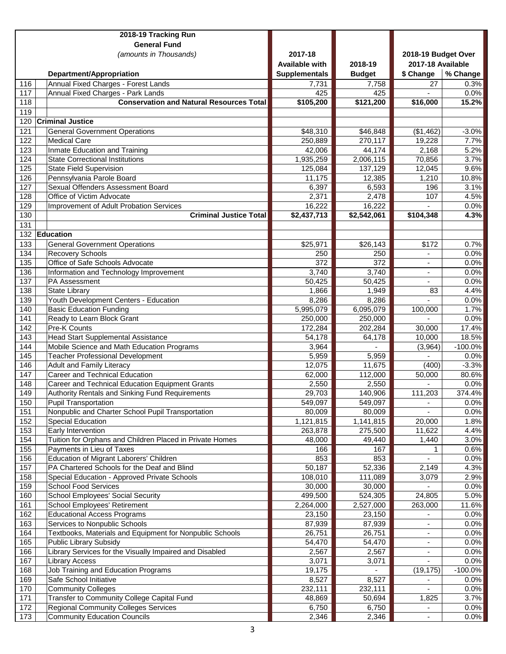|                  | 2018-19 Tracking Run                                                          |                       |                      |                          |               |
|------------------|-------------------------------------------------------------------------------|-----------------------|----------------------|--------------------------|---------------|
|                  | <b>General Fund</b>                                                           |                       |                      |                          |               |
|                  | (amounts in Thousands)                                                        | 2017-18               |                      | 2018-19 Budget Over      |               |
|                  |                                                                               | <b>Available with</b> | 2018-19              | 2017-18 Available        |               |
|                  | Department/Appropriation                                                      | <b>Supplementals</b>  | <b>Budget</b>        | \$ Change                | % Change      |
| 116              | Annual Fixed Charges - Forest Lands                                           | 7,731                 | 7,758                | 27                       | 0.3%          |
| 117              | Annual Fixed Charges - Park Lands                                             | 425                   | 425                  |                          | 0.0%          |
| 118              | <b>Conservation and Natural Resources Total</b>                               | \$105,200             | \$121,200            | \$16,000                 | 15.2%         |
| 119              |                                                                               |                       |                      |                          |               |
| 120              | <b>Criminal Justice</b>                                                       |                       |                      |                          |               |
| 121              | <b>General Government Operations</b>                                          | \$48,310              | \$46,848             | (\$1,462)                | $-3.0%$       |
| 122              | <b>Medical Care</b>                                                           | 250,889               | 270,117              | 19,228                   | 7.7%          |
| 123              | Inmate Education and Training                                                 | 42,006                | 44,174               | 2,168                    | 5.2%          |
| 124<br>125       | <b>State Correctional Institutions</b>                                        | 1,935,259             | 2,006,115            | 70,856                   | 3.7%          |
| 126              | <b>State Field Supervision</b><br>Pennsylvania Parole Board                   | 125,084               | 137,129              | 12,045<br>1,210          | 9.6%          |
| 127              | Sexual Offenders Assessment Board                                             | 11,175                | 12,385<br>6,593      | 196                      | 10.8%<br>3.1% |
| 128              | Office of Victim Advocate                                                     | 6,397<br>2,371        | 2,478                | 107                      | 4.5%          |
| 129              | Improvement of Adult Probation Services                                       | 16,222                | 16,222               |                          | 0.0%          |
| 130              | <b>Criminal Justice Total</b>                                                 | \$2,437,713           | \$2,542,061          | \$104,348                | 4.3%          |
| 131              |                                                                               |                       |                      |                          |               |
| 132              | Education                                                                     |                       |                      |                          |               |
| 133              | <b>General Government Operations</b>                                          | \$25,971              | \$26,143             | \$172                    | 0.7%          |
| 134              | <b>Recovery Schools</b>                                                       | 250                   | 250                  |                          | 0.0%          |
| 135              | Office of Safe Schools Advocate                                               | 372                   | 372                  |                          | 0.0%          |
| 136              | Information and Technology Improvement                                        | 3,740                 | 3,740                |                          | 0.0%          |
| 137              | PA Assessment                                                                 | 50,425                | 50,425               | ٠                        | 0.0%          |
| 138              | <b>State Library</b>                                                          | 1,866                 | 1,949                | 83                       | 4.4%          |
| 139              | Youth Development Centers - Education                                         | 8,286                 | 8,286                |                          | 0.0%          |
| 140              | <b>Basic Education Funding</b>                                                | 5,995,079             | 6,095,079            | 100,000                  | 1.7%          |
| 141              | Ready to Learn Block Grant                                                    | 250,000               | 250,000              |                          | 0.0%          |
| 142              | Pre-K Counts                                                                  | 172,284               | 202,284              | 30,000                   | 17.4%         |
| 143              | <b>Head Start Supplemental Assistance</b>                                     | 54,178                | 64,178               | 10,000                   | 18.5%         |
| 144              | Mobile Science and Math Education Programs                                    | 3,964                 |                      | (3,964)                  | $-100.0%$     |
| 145              | <b>Teacher Professional Development</b>                                       | 5,959                 | 5,959                |                          | 0.0%          |
| 146              | <b>Adult and Family Literacy</b>                                              | 12,075                | 11,675               | (400)                    | $-3.3%$       |
| 147              | Career and Technical Education                                                | 62,000                | 112,000              | 50,000                   | 80.6%         |
| 148              | Career and Technical Education Equipment Grants                               | 2,550                 | 2,550                |                          | 0.0%          |
| 149              | Authority Rentals and Sinking Fund Requirements                               | 29,703                | 140,906              | $\overline{11}$ 1,203    | 374.4%        |
| 150<br>151       | <b>Pupil Transportation</b>                                                   | 549,097<br>80,009     | 549,097              | $\overline{\phantom{a}}$ | 0.0%          |
| 152              | Nonpublic and Charter School Pupil Transportation<br><b>Special Education</b> |                       | 80,009               |                          | 0.0%          |
| 153              | Early Intervention                                                            | 1,121,815<br>263,878  | 1,141,815<br>275,500 | 20,000<br>11,622         | 1.8%<br>4.4%  |
| 154              | Tuition for Orphans and Children Placed in Private Homes                      | 48,000                | 49,440               | 1,440                    | 3.0%          |
| 155              | Payments in Lieu of Taxes                                                     | 166                   | 167                  |                          | 0.6%          |
| 156              | Education of Migrant Laborers' Children                                       | 853                   | 853                  |                          | 0.0%          |
| 157              | PA Chartered Schools for the Deaf and Blind                                   | 50,187                | 52,336               | 2,149                    | 4.3%          |
| 158              | Special Education - Approved Private Schools                                  | 108,010               | 111,089              | 3,079                    | 2.9%          |
| 159              | <b>School Food Services</b>                                                   | 30,000                | 30,000               |                          | 0.0%          |
| 160              | School Employees' Social Security                                             | 499,500               | 524,305              | 24,805                   | 5.0%          |
| 161              | School Employees' Retirement                                                  | 2,264,000             | 2,527,000            | 263,000                  | 11.6%         |
| 162              | <b>Educational Access Programs</b>                                            | 23,150                | 23,150               |                          | 0.0%          |
| 163              | Services to Nonpublic Schools                                                 | 87,939                | 87,939               |                          | 0.0%          |
| 164              | Textbooks, Materials and Equipment for Nonpublic Schools                      | 26,751                | 26,751               |                          | 0.0%          |
| 165              | Public Library Subsidy                                                        | 54,470                | 54,470               |                          | 0.0%          |
| 166              | Library Services for the Visually Impaired and Disabled                       | 2,567                 | 2,567                | $\overline{\phantom{a}}$ | 0.0%          |
| 167              | <b>Library Access</b>                                                         | 3,071                 | 3,071                |                          | 0.0%          |
| 168              | Job Training and Education Programs                                           | 19,175                |                      | (19, 175)                | $-100.0%$     |
| 169              | Safe School Initiative                                                        | 8,527                 | 8,527                |                          | $0.0\%$       |
| 170              | <b>Community Colleges</b>                                                     | 232,111               | 232,111              |                          | 0.0%          |
| $171$            | Transfer to Community College Capital Fund                                    | 48,869                | 50,694               | 1,825                    | 3.7%          |
| 172              | <b>Regional Community Colleges Services</b>                                   | 6,750                 | 6,750                |                          | 0.0%          |
| $\overline{173}$ | <b>Community Education Councils</b>                                           | 2,346                 | 2,346                |                          | 0.0%          |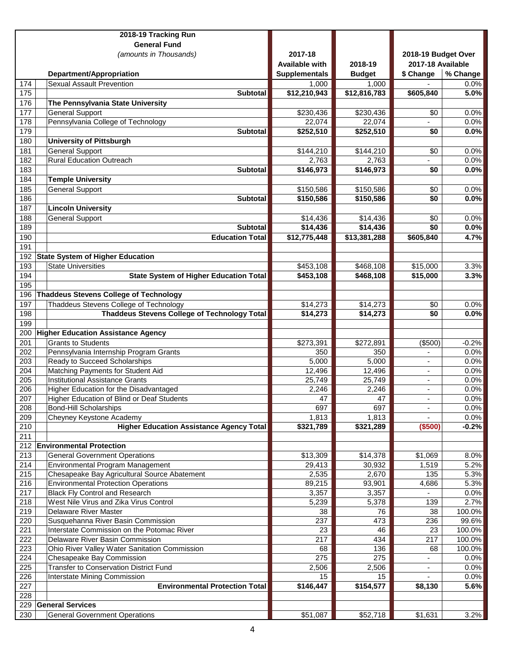|                  | 2018-19 Tracking Run                                               |                      |               |                          |                 |
|------------------|--------------------------------------------------------------------|----------------------|---------------|--------------------------|-----------------|
|                  | <b>General Fund</b>                                                |                      |               |                          |                 |
|                  | (amounts in Thousands)                                             | 2017-18              |               | 2018-19 Budget Over      |                 |
|                  |                                                                    | Available with       | 2018-19       | 2017-18 Available        |                 |
|                  | Department/Appropriation                                           | <b>Supplementals</b> | <b>Budget</b> | \$ Change                | % Change        |
| 174              | <b>Sexual Assault Prevention</b>                                   | 1,000                | 1,000         |                          | $0.0\%$         |
| $\overline{175}$ | <b>Subtotal</b>                                                    | \$12,210,943         | \$12,816,783  | \$605,840                | 5.0%            |
| 176              | The Pennsylvania State University                                  |                      |               |                          |                 |
| 177              | <b>General Support</b>                                             | \$230,436            | \$230,436     | \$0                      | 0.0%            |
| 178              | Pennsylvania College of Technology                                 | 22,074               | 22,074        |                          | 0.0%            |
| 179              | <b>Subtotal</b>                                                    | \$252,510            | \$252,510     | \$0                      | 0.0%            |
| 180              | <b>University of Pittsburgh</b>                                    |                      |               |                          |                 |
| 181              | <b>General Support</b>                                             | \$144,210            | \$144,210     | \$0                      | 0.0%            |
| 182              | <b>Rural Education Outreach</b>                                    | 2,763                | 2,763         | $\blacksquare$           | 0.0%            |
| 183              | <b>Subtotal</b>                                                    | \$146,973            | \$146,973     | \$0                      | 0.0%            |
| 184              | <b>Temple University</b>                                           |                      |               |                          |                 |
| 185              | <b>General Support</b>                                             | \$150,586            | \$150,586     | \$0                      | 0.0%            |
| 186              | <b>Subtotal</b>                                                    | \$150,586            | \$150,586     | \$0                      | 0.0%            |
| 187              | <b>Lincoln University</b>                                          |                      |               |                          |                 |
| 188              | <b>General Support</b>                                             | \$14,436             | \$14,436      | \$0                      | 0.0%            |
| 189              | <b>Subtotal</b>                                                    | \$14,436             | \$14,436      | \$0                      | 0.0%            |
| 190              | <b>Education Total</b>                                             | \$12,775,448         | \$13,381,288  | \$605,840                | 4.7%            |
| 191<br>192       | <b>State System of Higher Education</b>                            |                      |               |                          |                 |
| 193              | <b>State Universities</b>                                          | \$453,108            | \$468,108     | \$15,000                 | 3.3%            |
| 194              | <b>State System of Higher Education Total</b>                      | \$453,108            | \$468,108     | \$15,000                 | 3.3%            |
| 195              |                                                                    |                      |               |                          |                 |
| 196              | Thaddeus Stevens College of Technology                             |                      |               |                          |                 |
| 197              | Thaddeus Stevens College of Technology                             | \$14,273             | \$14,273      | \$0                      | 0.0%            |
| 198              | <b>Thaddeus Stevens College of Technology Total</b>                | \$14,273             | \$14,273      | \$0                      | 0.0%            |
| 199              |                                                                    |                      |               |                          |                 |
| 200              | <b>Higher Education Assistance Agency</b>                          |                      |               |                          |                 |
| 201              | <b>Grants to Students</b>                                          | \$273,391            | \$272,891     | (\$500)                  | $-0.2%$         |
| 202              | Pennsylvania Internship Program Grants                             | 350                  | 350           |                          | 0.0%            |
| 203              | Ready to Succeed Scholarships                                      | 5,000                | 5,000         |                          | 0.0%            |
| 204              | Matching Payments for Student Aid                                  | 12,496               | 12,496        | $\overline{\phantom{a}}$ | 0.0%            |
| 205              | <b>Institutional Assistance Grants</b>                             | 25,749               | 25,749        |                          | 0.0%            |
| 206              | Higher Education for the Disadvantaged                             | 2,246                | 2,246         | $\overline{\phantom{a}}$ | 0.0%            |
| 207              | Higher Education of Blind or Deaf Students                         | 47                   | 47            |                          | $0.0\%$         |
| 208              | <b>Bond-Hill Scholarships</b>                                      | 697                  | 697           | ٠                        | 0.0%            |
| 209              | Cheyney Keystone Academy                                           | 1,813                | 1,813         |                          | 0.0%            |
| 210              | <b>Higher Education Assistance Agency Total</b>                    | \$321,789            | \$321,289     | (\$500)                  | $-0.2%$         |
| 211              |                                                                    |                      |               |                          |                 |
| 212              | <b>Environmental Protection</b>                                    |                      |               |                          |                 |
| 213              | <b>General Government Operations</b>                               | \$13,309             | \$14,378      | \$1,069                  | 8.0%            |
| 214              | Environmental Program Management                                   | 29,413               | 30,932        | 1,519                    | 5.2%            |
| 215              | Chesapeake Bay Agricultural Source Abatement                       | 2,535                | 2,670         | 135                      | 5.3%            |
| 216              | <b>Environmental Protection Operations</b>                         | 89,215               | 93,901        | 4,686                    | 5.3%            |
| 217              | <b>Black Fly Control and Research</b>                              | 3,357                | 3,357         |                          | 0.0%            |
| 218              | West Nile Virus and Zika Virus Control                             | 5,239                | 5,378         | 139                      | 2.7%            |
| 219<br>220       | <b>Delaware River Master</b><br>Susquehanna River Basin Commission | 38<br>237            | 76<br>473     | 38                       | 100.0%<br>99.6% |
| 221              | Interstate Commission on the Potomac River                         | 23                   | 46            | 236<br>23                | 100.0%          |
| 222              | Delaware River Basin Commission                                    | 217                  | 434           | 217                      | 100.0%          |
| 223              | Ohio River Valley Water Sanitation Commission                      | 68                   | 136           | 68                       | 100.0%          |
| 224              | Chesapeake Bay Commission                                          | 275                  | 275           |                          | 0.0%            |
| 225              | Transfer to Conservation District Fund                             | 2,506                | 2,506         |                          | 0.0%            |
| 226              | Interstate Mining Commission                                       | 15                   | 15            |                          | 0.0%            |
| 227              | <b>Environmental Protection Total</b>                              | \$146,447            | \$154,577     | \$8,130                  | 5.6%            |
| 228              |                                                                    |                      |               |                          |                 |
|                  | 229 General Services                                               |                      |               |                          |                 |
| 230              | <b>General Government Operations</b>                               | \$51,087             | \$52,718      | \$1,631                  | 3.2%            |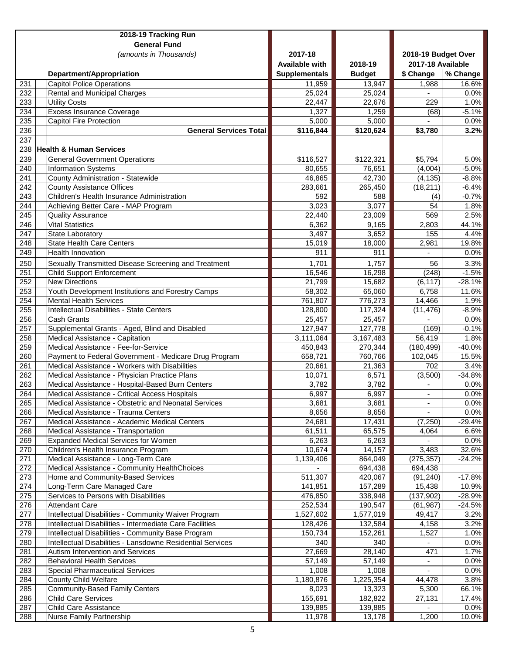|                  | 2018-19 Tracking Run                                                                               |                       |                |                     |                  |
|------------------|----------------------------------------------------------------------------------------------------|-----------------------|----------------|---------------------|------------------|
|                  | <b>General Fund</b>                                                                                |                       |                |                     |                  |
|                  | (amounts in Thousands)                                                                             | 2017-18               |                | 2018-19 Budget Over |                  |
|                  |                                                                                                    | <b>Available with</b> | 2018-19        | 2017-18 Available   |                  |
|                  | Department/Appropriation                                                                           | <b>Supplementals</b>  | <b>Budget</b>  | \$ Change           | % Change         |
| 231              | <b>Capitol Police Operations</b>                                                                   | 11,959                | 13,947         | 1,988               | 16.6%            |
| 232              | <b>Rental and Municipal Charges</b>                                                                | 25,024                | 25,024         |                     | 0.0%             |
| 233              | <b>Utility Costs</b>                                                                               | 22,447                | 22,676         | 229                 | 1.0%             |
| 234              | <b>Excess Insurance Coverage</b>                                                                   | 1,327                 | 1,259          | (68)                | $-5.1%$          |
| 235              | <b>Capitol Fire Protection</b>                                                                     | 5,000                 | 5,000          | $\mathbf{r}$        | 0.0%             |
| 236              | <b>General Services Total</b>                                                                      | \$116,844             | \$120,624      | \$3,780             | 3.2%             |
| 237              |                                                                                                    |                       |                |                     |                  |
| 238              | <b>Health &amp; Human Services</b>                                                                 |                       |                |                     |                  |
| 239              | <b>General Government Operations</b>                                                               | \$116,527             | \$122,321      | \$5,794             | 5.0%             |
| 240              | <b>Information Systems</b>                                                                         | 80,655                | 76,651         | (4,004)             | $-5.0%$          |
| 241              | County Administration - Statewide                                                                  | 46,865                | 42,730         | (4, 135)            | $-8.8%$          |
| 242              | <b>County Assistance Offices</b>                                                                   | 283,661               | 265,450        | (18, 211)           | $-6.4%$          |
| $\overline{243}$ | Children's Health Insurance Administration                                                         | 592                   | 588            | (4)                 | $-0.7%$          |
| $\overline{244}$ | Achieving Better Care - MAP Program                                                                | 3,023                 | 3,077          | 54                  | 1.8%             |
| $\overline{245}$ | <b>Quality Assurance</b>                                                                           | 22,440                | 23,009         | 569                 | 2.5%             |
| 246              | <b>Vital Statistics</b>                                                                            | 6,362                 | 9,165          | 2,803               | 44.1%            |
| 247              | State Laboratory                                                                                   | 3,497                 | 3,652          | 155                 | 4.4%             |
| 248              | <b>State Health Care Centers</b>                                                                   | 15,019                | 18,000         | 2,981               | 19.8%            |
| 249              | <b>Health Innovation</b>                                                                           | 911                   | 911            |                     | 0.0%             |
| 250              | Sexually Transmitted Disease Screening and Treatment                                               | 1,701                 | 1,757          | 56                  | 3.3%             |
| 251              | <b>Child Support Enforcement</b>                                                                   | 16,546                | 16,298         | (248)               | $-1.5%$          |
| 252              | <b>New Directions</b>                                                                              | 21,799                | 15,682         | (6, 117)            | $-28.1%$         |
| 253              | Youth Development Institutions and Forestry Camps                                                  | 58,302                | 65,060         | 6,758               | 11.6%            |
| 254              | <b>Mental Health Services</b>                                                                      | 761,807               | 776,273        | 14,466              | 1.9%             |
| 255              | Intellectual Disabilities - State Centers                                                          | 128,800               | 117,324        | (11, 476)           | $-8.9%$          |
| 256              | <b>Cash Grants</b>                                                                                 | 25,457                | 25,457         |                     | 0.0%             |
| 257              | Supplemental Grants - Aged, Blind and Disabled                                                     | 127,947               | 127,778        | (169)               | $-0.1%$          |
| 258              | Medical Assistance - Capitation                                                                    | 3,111,064             | 3,167,483      | 56,419              | 1.8%             |
| 259              | Medical Assistance - Fee-for-Service                                                               | 450,843               | 270,344        | (180, 499)          | $-40.0%$         |
| 260              | Payment to Federal Government - Medicare Drug Program                                              | 658,721               | 760,766        | 102,045             | 15.5%            |
| 261<br>262       | Medical Assistance - Workers with Disabilities                                                     | 20,661                | 21,363         | 702                 | 3.4%<br>$-34.8%$ |
| 263              | Medical Assistance - Physician Practice Plans                                                      | 10,071<br>3,782       | 6,571<br>3,782 | (3,500)             |                  |
| 264              | Medical Assistance - Hospital-Based Burn Centers<br>Medical Assistance - Critical Access Hospitals | 6,997                 | 6,997          | $\blacksquare$      | 0.0%<br>0.0%     |
| 265              | Medical Assistance - Obstetric and Neonatal Services                                               | 3,681                 | 3,681          | ۰                   | 0.0%             |
| 266              | Medical Assistance - Trauma Centers                                                                | 8,656                 | 8,656          |                     | 0.0%             |
| 267              | Medical Assistance - Academic Medical Centers                                                      | 24,681                | 17,431         | (7,250)             | $-29.4%$         |
| 268              | Medical Assistance - Transportation                                                                | 61,511                | 65,575         | 4,064               | 6.6%             |
| 269              | <b>Expanded Medical Services for Women</b>                                                         | 6,263                 | 6,263          |                     | 0.0%             |
| 270              | Children's Health Insurance Program                                                                | 10,674                | 14,157         | 3,483               | 32.6%            |
| 271              | Medical Assistance - Long-Term Care                                                                | 1,139,406             | 864,049        | (275, 357)          | $-24.2%$         |
| 272              | Medical Assistance - Community HealthChoices                                                       |                       | 694,438        | 694,438             |                  |
| 273              | Home and Community-Based Services                                                                  | 511,307               | 420,067        | (91, 240)           | $-17.8%$         |
| 274              | Long-Term Care Managed Care                                                                        | 141,851               | 157,289        | 15,438              | 10.9%            |
| 275              | Services to Persons with Disabilities                                                              | 476,850               | 338,948        | (137, 902)          | $-28.9%$         |
| 276              | <b>Attendant Care</b>                                                                              | 252,534               | 190,547        | (61, 987)           | $-24.5%$         |
| 277              | Intellectual Disabilities - Community Waiver Program                                               | 1,527,602             | 1,577,019      | 49,417              | 3.2%             |
| 278              | Intellectual Disabilities - Intermediate Care Facilities                                           | 128,426               | 132,584        | 4,158               | 3.2%             |
| 279              | Intellectual Disabilities - Community Base Program                                                 | 150,734               | 152,261        | 1,527               | 1.0%             |
| 280              | Intellectual Disabilities - Lansdowne Residential Services                                         | 340                   | 340            | $\blacksquare$      | 0.0%             |
| 281              | Autism Intervention and Services                                                                   | 27,669                | 28,140         | 471                 | 1.7%             |
| 282              | <b>Behavioral Health Services</b>                                                                  | 57,149                | 57,149         |                     | 0.0%             |
| 283              | <b>Special Pharmaceutical Services</b>                                                             | 1,008                 | 1,008          |                     | 0.0%             |
| 284              | <b>County Child Welfare</b>                                                                        | 1,180,876             | 1,225,354      | 44,478              | 3.8%             |
| 285              | <b>Community-Based Family Centers</b>                                                              | 8,023                 | 13,323         | 5,300               | 66.1%            |
| 286              | <b>Child Care Services</b>                                                                         | 155,691               | 182,822        | 27,131              | 17.4%            |
| 287              | <b>Child Care Assistance</b>                                                                       | 139,885               | 139,885        |                     | 0.0%             |
| 288              | Nurse Family Partnership                                                                           | 11,978                | 13,178         | 1,200               | $10.0\%$         |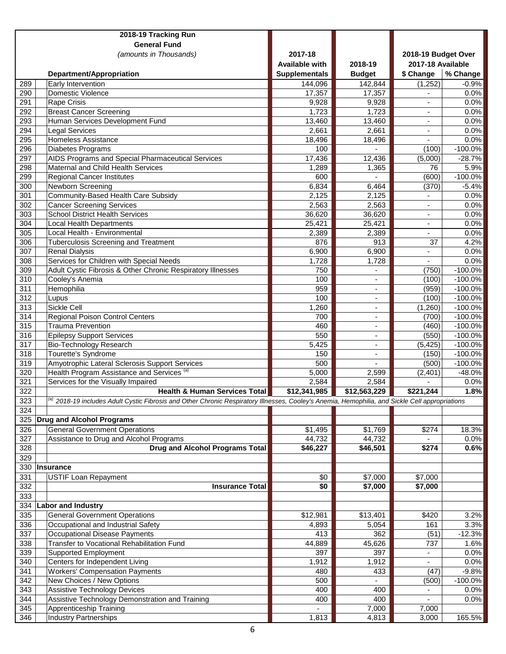|                  | 2018-19 Tracking Run                                                                                                                        |                                 |                                            |                                |                        |
|------------------|---------------------------------------------------------------------------------------------------------------------------------------------|---------------------------------|--------------------------------------------|--------------------------------|------------------------|
|                  | <b>General Fund</b>                                                                                                                         | 2017-18                         |                                            |                                |                        |
|                  | (amounts in Thousands)                                                                                                                      |                                 |                                            | 2018-19 Budget Over            |                        |
|                  |                                                                                                                                             | <b>Available with</b>           | 2018-19                                    | 2017-18 Available<br>\$ Change | % Change               |
| 289              | Department/Appropriation<br>Early Intervention                                                                                              | <b>Supplementals</b><br>144,096 | <b>Budget</b><br>142,844                   | (1,252)                        | $-0.9%$                |
| 290              | <b>Domestic Violence</b>                                                                                                                    | 17,357                          | 17,357                                     |                                | 0.0%                   |
| 291              | <b>Rape Crisis</b>                                                                                                                          | 9,928                           | 9,928                                      |                                | 0.0%                   |
| 292              | <b>Breast Cancer Screening</b>                                                                                                              | 1,723                           | 1,723                                      | $\blacksquare$                 | 0.0%                   |
| 293              | Human Services Development Fund                                                                                                             | 13,460                          | 13,460                                     | ۰                              | 0.0%                   |
| 294              | <b>Legal Services</b>                                                                                                                       | 2,661                           | 2,661                                      |                                | 0.0%                   |
| 295              | <b>Homeless Assistance</b>                                                                                                                  | 18,496                          | 18,496                                     | $\blacksquare$                 | 0.0%                   |
| 296              | Diabetes Programs                                                                                                                           | 100                             | $\overline{a}$                             | (100)                          | $-100.0%$              |
| 297              | AIDS Programs and Special Pharmaceutical Services                                                                                           | 17,436                          | 12,436                                     | (5,000)                        | $-28.7%$               |
| 298              | Maternal and Child Health Services                                                                                                          | 1,289                           | 1,365                                      | 76                             | 5.9%                   |
| 299              | <b>Regional Cancer Institutes</b>                                                                                                           | 600                             | $\overline{a}$                             | (600)                          | $-100.0%$              |
| 300              | Newborn Screening                                                                                                                           | 6,834                           | 6,464                                      | (370)                          | $-5.4%$                |
| 301              | <b>Community-Based Health Care Subsidy</b>                                                                                                  | 2,125                           | 2,125                                      |                                | 0.0%                   |
| 302              | <b>Cancer Screening Services</b>                                                                                                            | 2,563                           | 2,563                                      | $\overline{\phantom{m}}$       | 0.0%                   |
| 303              | <b>School District Health Services</b>                                                                                                      | 36,620                          | 36,620                                     | $\overline{a}$                 | 0.0%                   |
| 304              | <b>Local Health Departments</b>                                                                                                             | 25,421                          | 25,421                                     | $\overline{\phantom{a}}$       | 0.0%                   |
| 305              | Local Health - Environmental                                                                                                                | 2,389                           | 2,389                                      | $\overline{\phantom{a}}$       | 0.0%                   |
| 306              | <b>Tuberculosis Screening and Treatment</b>                                                                                                 | 876                             | 913                                        | 37                             | 4.2%                   |
| 307              | <b>Renal Dialysis</b>                                                                                                                       | 6,900                           | 6,900                                      |                                | 0.0%                   |
| 308              | Services for Children with Special Needs                                                                                                    | 1,728                           | 1,728                                      |                                | 0.0%                   |
| 309              | Adult Cystic Fibrosis & Other Chronic Respiratory Illnesses                                                                                 | 750                             |                                            | (750)                          | $-100.0%$              |
| 310              | Cooley's Anemia                                                                                                                             | 100                             |                                            | (100)                          | $-100.0%$              |
| 311              | Hemophilia                                                                                                                                  | 959                             | ÷,                                         | (959)                          | $-100.0%$              |
| 312              | Lupus                                                                                                                                       | 100                             | $\blacksquare$                             | (100)                          | $-100.0%$              |
| 313              | <b>Sickle Cell</b>                                                                                                                          | 1,260                           | $\blacksquare$                             | (1,260)                        | $-100.0%$              |
| 314<br>315       | Regional Poison Control Centers<br><b>Trauma Prevention</b>                                                                                 | 700                             | $\overline{\phantom{a}}$                   | (700)                          | $-100.0%$              |
| 316              |                                                                                                                                             | 460<br>550                      | $\overline{\phantom{a}}$                   | (460)                          | $-100.0%$              |
| $\overline{317}$ | <b>Epilepsy Support Services</b><br><b>Bio-Technology Research</b>                                                                          | 5,425                           | $\blacksquare$                             | (550)<br>(5, 425)              | $-100.0%$<br>$-100.0%$ |
| 318              | Tourette's Syndrome                                                                                                                         | 150                             | $\overline{\phantom{a}}$<br>$\blacksquare$ | (150)                          | $-100.0%$              |
| 319              | Amyotrophic Lateral Sclerosis Support Services                                                                                              | 500                             |                                            | (500)                          | $-100.0%$              |
| 320              | Health Program Assistance and Services <sup>(a)</sup>                                                                                       | 5,000                           | 2,599                                      | (2, 401)                       | $-48.0%$               |
| 321              | Services for the Visually Impaired                                                                                                          | 2,584                           | 2,584                                      |                                | 0.0%                   |
| 322              | <b>Health &amp; Human Services Total</b>                                                                                                    | \$12,341,985                    | \$12,563,229                               | \$221,244                      | 1.8%                   |
| 323              | 2018-19 includes Adult Cystic Fibrosis and Other Chronic Respiratory Illnesses, Cooley's Anemia, Hemophilia, and Sickle Cell appropriations |                                 |                                            |                                |                        |
| 324              |                                                                                                                                             |                                 |                                            |                                |                        |
| 325              | <b>Drug and Alcohol Programs</b>                                                                                                            |                                 |                                            |                                |                        |
| 326              | <b>General Government Operations</b>                                                                                                        | \$1,495                         | \$1,769                                    | \$274                          | 18.3%                  |
| 327              | Assistance to Drug and Alcohol Programs                                                                                                     | 44,732                          | 44,732                                     |                                | 0.0%                   |
| 328              | <b>Drug and Alcohol Programs Total</b>                                                                                                      | \$46,227                        | \$46,501                                   | \$274                          | 0.6%                   |
| 329              |                                                                                                                                             |                                 |                                            |                                |                        |
| 330              | Insurance                                                                                                                                   |                                 |                                            |                                |                        |
| 331              | <b>USTIF Loan Repayment</b>                                                                                                                 | \$0                             | $\overline{$7,000}$                        | \$7,000                        |                        |
| 332              | <b>Insurance Total</b>                                                                                                                      | \$0                             | \$7,000                                    | \$7,000                        |                        |
| 333              |                                                                                                                                             |                                 |                                            |                                |                        |
| 334              | <b>Labor and Industry</b>                                                                                                                   |                                 |                                            |                                |                        |
| 335              | <b>General Government Operations</b>                                                                                                        | \$12,981                        | \$13,401                                   | \$420                          | 3.2%                   |
| 336              | Occupational and Industrial Safety                                                                                                          | 4,893                           | 5,054                                      | 161                            | 3.3%                   |
| 337              | Occupational Disease Payments                                                                                                               | 413                             | 362                                        | (51)                           | $-12.3%$               |
| 338              | Transfer to Vocational Rehabilitation Fund                                                                                                  | 44,889                          | 45,626                                     | 737                            | 1.6%                   |
| 339              | <b>Supported Employment</b>                                                                                                                 | 397                             | 397                                        |                                | 0.0%                   |
| 340              | Centers for Independent Living                                                                                                              | 1,912                           | 1,912                                      |                                | 0.0%                   |
| $\overline{341}$ | <b>Workers' Compensation Payments</b>                                                                                                       | 480                             | 433                                        | (47)                           | $-9.8%$                |
| 342              | New Choices / New Options                                                                                                                   | 500                             |                                            | (500)                          | $-100.0%$              |
| 343              | <b>Assistive Technology Devices</b>                                                                                                         | 400                             | 400                                        |                                | 0.0%                   |
| 344              | Assistive Technology Demonstration and Training                                                                                             | 400                             | 400                                        |                                | 0.0%                   |
| 345              | Apprenticeship Training                                                                                                                     |                                 | 7,000                                      | 7,000                          |                        |
| 346              | <b>Industry Partnerships</b>                                                                                                                | 1,813                           | 4,813                                      | 3,000                          | 165.5%                 |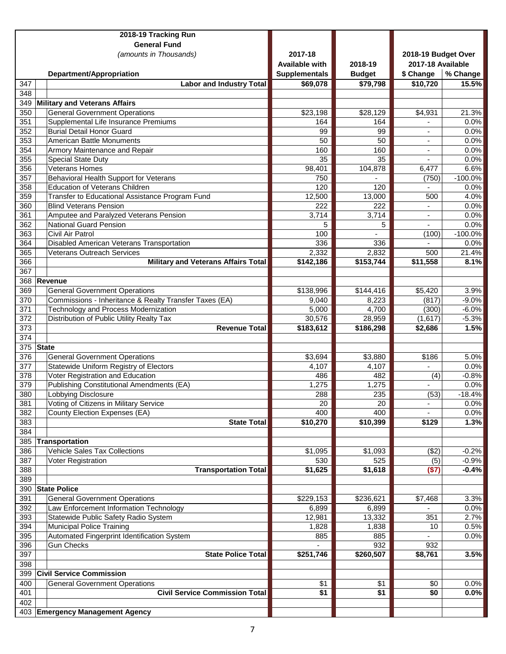|                  |       | 2018-19 Tracking Run                                              |                           |                      |                                          |                    |
|------------------|-------|-------------------------------------------------------------------|---------------------------|----------------------|------------------------------------------|--------------------|
|                  |       | <b>General Fund</b>                                               |                           |                      |                                          |                    |
|                  |       | (amounts in Thousands)                                            | 2017-18<br>Available with | 2018-19              | 2018-19 Budget Over<br>2017-18 Available |                    |
|                  |       | Department/Appropriation                                          | <b>Supplementals</b>      | <b>Budget</b>        | \$ Change                                | % Change           |
| 347              |       | <b>Labor and Industry Total</b>                                   | \$69,078                  | \$79,798             | \$10,720                                 | 15.5%              |
| 348              |       |                                                                   |                           |                      |                                          |                    |
| 349              |       | <b>Military and Veterans Affairs</b>                              |                           |                      |                                          |                    |
| 350              |       | <b>General Government Operations</b>                              | \$23,198                  | \$28,129             | \$4,931                                  | 21.3%              |
| 351              |       | Supplemental Life Insurance Premiums                              | 164                       | 164                  |                                          | 0.0%               |
| 352              |       | <b>Burial Detail Honor Guard</b>                                  | 99                        | 99                   |                                          | 0.0%               |
| 353              |       | American Battle Monuments                                         | 50                        | 50                   |                                          | 0.0%               |
| 354              |       | Armory Maintenance and Repair                                     | 160                       | 160                  | ٠                                        | 0.0%               |
| 355              |       | Special State Duty                                                | 35                        | 35                   | $\overline{\phantom{a}}$                 | 0.0%               |
| 356              |       | <b>Veterans Homes</b>                                             | 98,401                    | 104,878              | 6,477                                    | 6.6%               |
| 357              |       | Behavioral Health Support for Veterans                            | 750                       |                      | (750)                                    | $-100.0%$          |
| 358              |       | <b>Education of Veterans Children</b>                             | 120                       | 120                  |                                          | 0.0%               |
| 359              |       | Transfer to Educational Assistance Program Fund                   | 12,500                    | 13,000               | 500                                      | 4.0%               |
| 360              |       | <b>Blind Veterans Pension</b>                                     | 222                       | $\overline{222}$     |                                          | 0.0%               |
| 361              |       | Amputee and Paralyzed Veterans Pension                            | 3,714                     | 3,714                |                                          | 0.0%               |
| 362              |       | National Guard Pension                                            | 5                         | 5                    |                                          | 0.0%               |
| 363              |       | Civil Air Patrol                                                  | 100                       | $\overline{a}$       | (100)                                    | $-100.0%$          |
| 364              |       | Disabled American Veterans Transportation                         | 336                       | 336                  |                                          | 0.0%               |
| 365              |       | <b>Veterans Outreach Services</b>                                 | 2,332                     | 2,832                | 500                                      | 21.4%              |
| 366              |       | <b>Military and Veterans Affairs Total</b>                        | \$142,186                 | \$153,744            | \$11,558                                 | 8.1%               |
| 367              |       |                                                                   |                           |                      |                                          |                    |
| 368              |       | Revenue                                                           |                           |                      |                                          |                    |
| 369              |       | <b>General Government Operations</b>                              | \$138,996                 | \$144,416            | \$5,420                                  | 3.9%               |
| 370              |       | Commissions - Inheritance & Realty Transfer Taxes (EA)            | 9,040                     | 8,223                | (817)                                    | $-9.0%$            |
| 371<br>372       |       | Technology and Process Modernization                              | 5,000                     | 4,700                | (300)                                    | $-6.0%$            |
| 373              |       | Distribution of Public Utility Realty Tax<br><b>Revenue Total</b> | 30,576<br>\$183,612       | 28,959<br>\$186,298  | (1,617)<br>\$2,686                       | $-5.3%$<br>1.5%    |
| $\overline{374}$ |       |                                                                   |                           |                      |                                          |                    |
|                  |       |                                                                   |                           |                      |                                          |                    |
|                  |       |                                                                   |                           |                      |                                          |                    |
| 375              | State |                                                                   |                           |                      |                                          |                    |
| 376              |       | <b>General Government Operations</b>                              | \$3,694                   | \$3,880              | \$186                                    | 5.0%               |
| 377              |       | Statewide Uniform Registry of Electors                            | 4,107                     | 4,107                |                                          | 0.0%               |
| 378              |       | Voter Registration and Education                                  | 486                       | 482                  | (4)                                      | $-0.8%$            |
| 379              |       | <b>Publishing Constitutional Amendments (EA)</b>                  | 1,275                     | 1,275                |                                          | 0.0%               |
| 380              |       | Lobbying Disclosure                                               | 288                       | 235                  | (53)                                     | $-18.4%$           |
| 381              |       | Voting of Citizens in Military Service                            | 20                        | 20                   |                                          | 0.0%               |
| 382              |       | County Election Expenses (EA)<br><b>State Total</b>               | 400                       | 400                  |                                          | 0.0%               |
| 383              |       |                                                                   | \$10,270                  | \$10,399             | \$129                                    | 1.3%               |
| 384              |       |                                                                   |                           |                      |                                          |                    |
| 385              |       | <b>Transportation</b>                                             |                           |                      |                                          |                    |
| 386<br>387       |       | <b>Vehicle Sales Tax Collections</b><br>Voter Registration        | \$1,095<br>530            | \$1,093<br>525       | (\$2)                                    | $-0.2%$            |
| 388              |       | <b>Transportation Total</b>                                       | \$1,625                   |                      | (5)                                      | $-0.9%$<br>$-0.4%$ |
| 389              |       |                                                                   |                           | $\overline{\$1,618}$ | (\$7)                                    |                    |
|                  |       | 390 State Police                                                  |                           |                      |                                          |                    |
| 391              |       | <b>General Government Operations</b>                              | \$229,153                 | \$236,621            | \$7,468                                  | 3.3%               |
| 392              |       | Law Enforcement Information Technology                            | 6,899                     | 6,899                |                                          | 0.0%               |
| 393              |       | Statewide Public Safety Radio System                              | 12,981                    | 13,332               | 351                                      | 2.7%               |
| 394              |       | <b>Municipal Police Training</b>                                  | 1,828                     | 1,838                | 10                                       | 0.5%               |
| 395              |       | Automated Fingerprint Identification System                       | 885                       | 885                  |                                          | 0.0%               |
| 396              |       | <b>Gun Checks</b>                                                 |                           | 932                  | 932                                      |                    |
| 397              |       | <b>State Police Total</b>                                         | \$251,746                 | \$260,507            | \$8,761                                  | 3.5%               |
| 398              |       |                                                                   |                           |                      |                                          |                    |
| 399              |       | <b>Civil Service Commission</b>                                   |                           |                      |                                          |                    |
| 400              |       | <b>General Government Operations</b>                              | \$1                       | \$1                  | \$0                                      | 0.0%               |
| 401              |       | <b>Civil Service Commission Total</b>                             | \$1                       | \$1                  | \$0                                      | 0.0%               |
| 402              |       | 403 Emergency Management Agency                                   |                           |                      |                                          |                    |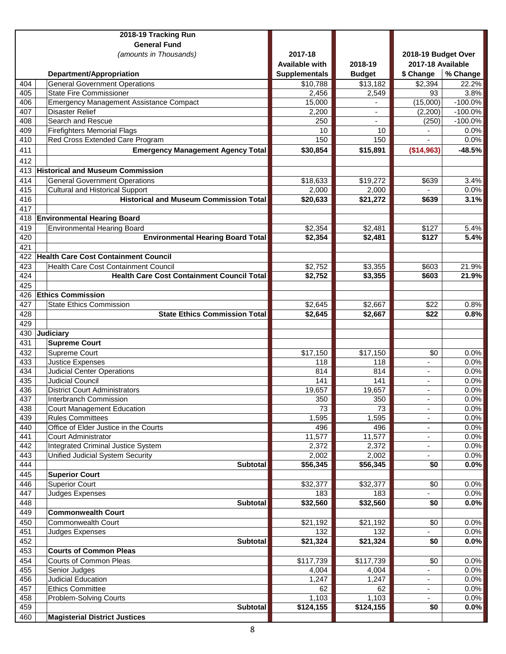|            | 2018-19 Tracking Run                                                     |                       |                  |                          |                        |
|------------|--------------------------------------------------------------------------|-----------------------|------------------|--------------------------|------------------------|
|            | <b>General Fund</b>                                                      |                       |                  |                          |                        |
|            | (amounts in Thousands)                                                   | 2017-18               |                  | 2018-19 Budget Over      |                        |
|            |                                                                          | <b>Available with</b> | 2018-19          | 2017-18 Available        |                        |
|            | Department/Appropriation                                                 | <b>Supplementals</b>  | <b>Budget</b>    | \$ Change                | % Change               |
| 404        | <b>General Government Operations</b>                                     | \$10,788              | \$13,182         | \$2,394                  | 22.2%                  |
| 405<br>406 | <b>State Fire Commissioner</b>                                           | 2,456                 | 2,549            | 93                       | 3.8%                   |
| 407        | <b>Emergency Management Assistance Compact</b><br><b>Disaster Relief</b> | 15,000<br>2,200       |                  | (15,000)<br>(2, 200)     | $-100.0%$<br>$-100.0%$ |
| 408        | Search and Rescue                                                        | 250                   | $\blacksquare$   | (250)                    | $-100.0%$              |
| 409        | <b>Firefighters Memorial Flags</b>                                       | 10                    | 10               |                          | 0.0%                   |
| 410        | Red Cross Extended Care Program                                          | 150                   | 150              |                          | 0.0%                   |
| 411        | <b>Emergency Management Agency Total</b>                                 | \$30,854              | \$15,891         | (\$14,963)               | $-48.5%$               |
| 412        |                                                                          |                       |                  |                          |                        |
| 413        | <b>Historical and Museum Commission</b>                                  |                       |                  |                          |                        |
| 414        | <b>General Government Operations</b>                                     | \$18,633              | \$19,272         | \$639                    | 3.4%                   |
| 415        | <b>Cultural and Historical Support</b>                                   | 2,000                 | 2,000            |                          | 0.0%                   |
| 416        | <b>Historical and Museum Commission Total</b>                            | \$20,633              | \$21,272         | \$639                    | 3.1%                   |
| 417        |                                                                          |                       |                  |                          |                        |
| 418        | <b>Environmental Hearing Board</b>                                       |                       |                  |                          |                        |
| 419        | <b>Environmental Hearing Board</b>                                       | \$2,354               | \$2,481          | \$127                    | 5.4%                   |
| 420        | <b>Environmental Hearing Board Total</b>                                 | \$2,354               | \$2,481          | \$127                    | $\overline{5.4\%}$     |
| 421        |                                                                          |                       |                  |                          |                        |
| 422        | <b>Health Care Cost Containment Council</b>                              |                       |                  |                          |                        |
| 423        | Health Care Cost Containment Council                                     | \$2,752               | \$3,355          | \$603                    | 21.9%                  |
| 424        | <b>Health Care Cost Containment Council Total</b>                        | \$2,752               | \$3,355          | \$603                    | 21.9%                  |
| 425        |                                                                          |                       |                  |                          |                        |
| 426        | <b>Ethics Commission</b>                                                 |                       |                  |                          |                        |
| 427        | <b>State Ethics Commission</b>                                           | \$2,645               | \$2,667          | \$22                     | 0.8%                   |
| 428        | <b>State Ethics Commission Total</b>                                     | \$2,645               | \$2,667          | \$22                     | 0.8%                   |
| 429        |                                                                          |                       |                  |                          |                        |
| 430        | Judiciary                                                                |                       |                  |                          |                        |
| 431        | <b>Supreme Court</b>                                                     |                       |                  |                          |                        |
| 432        | Supreme Court                                                            | \$17,150              | \$17,150         | \$0                      | 0.0%                   |
| 433        | <b>Justice Expenses</b>                                                  | 118                   | 118              |                          | 0.0%                   |
| 434        | <b>Judicial Center Operations</b>                                        | 814                   | 814              |                          | 0.0%                   |
| 435        | <b>Judicial Council</b>                                                  | 141                   | 141              |                          | 0.0%                   |
| 436        | <b>District Court Administrators</b>                                     | 19,657                | 19,657           | $\overline{\phantom{a}}$ | 0.0%                   |
| 437        | Interbranch Commission                                                   | $\overline{350}$      | $\overline{350}$ |                          | $0.0\%$                |
| 438        | <b>Court Management Education</b>                                        | 73                    | 73               |                          | 0.0%                   |
| 439        | <b>Rules Committees</b>                                                  | 1,595                 | 1,595            |                          | 0.0%                   |
| 440        | Office of Elder Justice in the Courts                                    | 496                   | 496              | $\overline{\phantom{a}}$ | 0.0%                   |
| 441        | <b>Court Administrator</b>                                               | 11,577                | 11,577           | $\overline{\phantom{a}}$ | 0.0%                   |
| 442        | Integrated Criminal Justice System                                       | 2,372                 | 2,372            | ۰                        | 0.0%                   |
| 443        | Unified Judicial System Security                                         | 2,002                 | 2,002            |                          | 0.0%                   |
| 444        | <b>Subtotal</b>                                                          | \$56,345              | \$56,345         | \$0                      | 0.0%                   |
| 445        | <b>Superior Court</b>                                                    |                       |                  |                          |                        |
| 446        | <b>Superior Court</b>                                                    | \$32,377              | \$32,377         | \$0                      | 0.0%                   |
| 447        | Judges Expenses                                                          | 183                   | 183              |                          | 0.0%                   |
| 448        | <b>Subtotal</b>                                                          | \$32,560              | \$32,560         | \$0                      | 0.0%                   |
| 449        | <b>Commonwealth Court</b>                                                |                       |                  |                          |                        |
| 450        | <b>Commonwealth Court</b>                                                | \$21,192              | \$21,192         | \$0                      | 0.0%                   |
| 451        | Judges Expenses                                                          | 132                   | 132              |                          | 0.0%                   |
| 452        | <b>Subtotal</b>                                                          | \$21,324              | \$21,324         | \$0                      | 0.0%                   |
| 453        | <b>Courts of Common Pleas</b>                                            |                       |                  |                          |                        |
| 454        | Courts of Common Pleas                                                   | \$117,739             | \$117,739        | \$0                      | 0.0%                   |
| 455        | Senior Judges                                                            | 4,004                 | 4,004            | ۰                        | 0.0%                   |
| 456        | Judicial Education                                                       | 1,247                 | 1,247            | $\overline{\phantom{a}}$ | 0.0%                   |
| 457        | <b>Ethics Committee</b>                                                  | 62                    | 62               | $\overline{\phantom{a}}$ | $\overline{0.0\%}$     |
| 458        | Problem-Solving Courts                                                   | 1,103                 | 1,103            |                          | 0.0%                   |
| 459        | <b>Subtotal</b>                                                          | \$124,155             | \$124,155        | \$0                      | 0.0%                   |
| 460        | <b>Magisterial District Justices</b>                                     |                       |                  |                          |                        |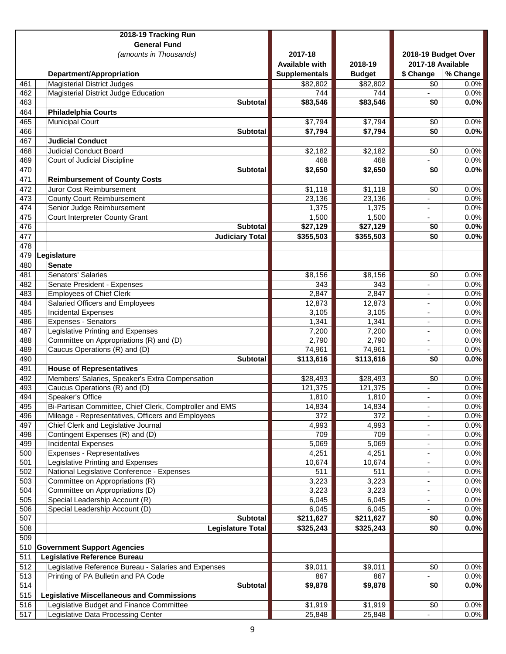|            | 2018-19 Tracking Run                                          |                       |                |                          |              |
|------------|---------------------------------------------------------------|-----------------------|----------------|--------------------------|--------------|
|            | <b>General Fund</b>                                           |                       |                |                          |              |
|            | (amounts in Thousands)                                        | 2017-18               |                | 2018-19 Budget Over      |              |
|            |                                                               | <b>Available with</b> | 2018-19        | 2017-18 Available        |              |
|            | Department/Appropriation                                      | <b>Supplementals</b>  | <b>Budget</b>  | \$ Change                | % Change     |
| 461        | <b>Magisterial District Judges</b>                            | \$82,802              | \$82,802       | \$0                      | $0.0\%$      |
| 462        | <b>Magisterial District Judge Education</b>                   | 744                   | 744            |                          | 0.0%         |
| 463        | <b>Subtotal</b>                                               | \$83,546              | \$83,546       | \$0                      | 0.0%         |
| 464        | <b>Philadelphia Courts</b>                                    |                       |                |                          |              |
| 465        | <b>Municipal Court</b>                                        | \$7,794               | \$7,794        | \$0                      | 0.0%         |
| 466        | <b>Subtotal</b><br><b>Judicial Conduct</b>                    | \$7,794               | \$7,794        | \$0                      | 0.0%         |
| 467        |                                                               |                       |                |                          |              |
| 468<br>469 | <b>Judicial Conduct Board</b><br>Court of Judicial Discipline | \$2,182<br>468        | \$2,182<br>468 | \$0<br>÷.                | 0.0%<br>0.0% |
| 470        | Subtotal                                                      | \$2,650               | \$2,650        | \$0                      | 0.0%         |
| 471        | <b>Reimbursement of County Costs</b>                          |                       |                |                          |              |
| 472        | Juror Cost Reimbursement                                      | \$1,118               | \$1,118        | \$0                      | 0.0%         |
| 473        | <b>County Court Reimbursement</b>                             | 23,136                | 23,136         | ۰                        | 0.0%         |
| 474        | Senior Judge Reimbursement                                    | 1,375                 | 1,375          |                          | 0.0%         |
| 475        | Court Interpreter County Grant                                | 1,500                 | 1,500          |                          | 0.0%         |
| 476        | Subtotal                                                      | \$27,129              | \$27,129       | \$0                      | 0.0%         |
| 477        | <b>Judiciary Total</b>                                        | \$355,503             | \$355,503      | \$0                      | 0.0%         |
| 478        |                                                               |                       |                |                          |              |
| 479        | Legislature                                                   |                       |                |                          |              |
| 480        | <b>Senate</b>                                                 |                       |                |                          |              |
| 481        | Senators' Salaries                                            | \$8,156               | \$8,156        | \$0                      | 0.0%         |
| 482        | Senate President - Expenses                                   | 343                   | 343            | $\blacksquare$           | 0.0%         |
| 483        | <b>Employees of Chief Clerk</b>                               | 2,847                 | 2,847          | $\overline{\phantom{a}}$ | 0.0%         |
| 484        | Salaried Officers and Employees                               | 12,873                | 12,873         | $\overline{\phantom{a}}$ | 0.0%         |
| 485        | <b>Incidental Expenses</b>                                    | 3,105                 | 3,105          |                          | 0.0%         |
| 486        | <b>Expenses - Senators</b>                                    | 1,341                 | 1,341          |                          | 0.0%         |
| 487        | Legislative Printing and Expenses                             | 7,200                 | 7,200          | $\overline{\phantom{a}}$ | 0.0%         |
| 488        | Committee on Appropriations (R) and (D)                       | 2,790                 | 2,790          |                          | 0.0%         |
| 489        | Caucus Operations (R) and (D)                                 | 74,961                | 74,961         |                          | 0.0%         |
| 490        | <b>Subtotal</b>                                               | \$113,616             | \$113,616      | \$0                      | 0.0%         |
| 491        | <b>House of Representatives</b>                               |                       |                |                          |              |
| 492        | Members' Salaries, Speaker's Extra Compensation               | \$28,493              | \$28,493       | \$0                      | 0.0%         |
| 493        | Caucus Operations (R) and (D)                                 | 121,375               | 121,375        | $\overline{\phantom{a}}$ | 0.0%         |
| 494        | Speaker's Office                                              | 1,810                 | 1,810          |                          | 0.0%         |
| 495        | Bi-Partisan Committee, Chief Clerk, Comptroller and EMS       | 14,834                | 14,834         |                          | 0.0%         |
| 496        | Mileage - Representatives, Officers and Employees             | 372                   | 372            |                          | 0.0%         |
| 497        | Chief Clerk and Legislative Journal                           | 4,993                 | 4,993          | $\overline{\phantom{a}}$ | 0.0%         |
| 498        | Contingent Expenses (R) and (D)                               | 709                   | 709            |                          | 0.0%         |
| 499<br>500 | <b>Incidental Expenses</b><br>Expenses - Representatives      | 5,069<br>4,251        | 5,069<br>4,251 |                          | 0.0%<br>0.0% |
| 501        | Legislative Printing and Expenses                             | 10,674                | 10,674         | $\overline{\phantom{a}}$ | 0.0%         |
| 502        | National Legislative Conference - Expenses                    | 511                   | 511            | $\overline{\phantom{a}}$ | 0.0%         |
| 503        | Committee on Appropriations (R)                               | 3,223                 | 3,223          | ٠                        | 0.0%         |
| 504        | Committee on Appropriations (D)                               | 3,223                 | 3,223          |                          | 0.0%         |
| 505        | Special Leadership Account (R)                                | 6,045                 | 6,045          |                          | 0.0%         |
| 506        | Special Leadership Account (D)                                | 6,045                 | 6,045          |                          | 0.0%         |
| 507        | <b>Subtotal</b>                                               | \$211,627             | \$211,627      | \$0                      | 0.0%         |
| 508        | <b>Legislature Total</b>                                      | \$325,243             | \$325,243      | \$0                      | 0.0%         |
| 509        |                                                               |                       |                |                          |              |
| 510        | <b>Government Support Agencies</b>                            |                       |                |                          |              |
| 511        | <b>Legislative Reference Bureau</b>                           |                       |                |                          |              |
| 512        | Legislative Reference Bureau - Salaries and Expenses          | \$9,011               | \$9,011        | \$0                      | 0.0%         |
| 513        | Printing of PA Bulletin and PA Code                           | 867                   | 867            | $\blacksquare$           | 0.0%         |
| 514        | <b>Subtotal</b>                                               | \$9,878               | \$9,878        | \$0                      | 0.0%         |
| 515        | <b>Legislative Miscellaneous and Commissions</b>              |                       |                |                          |              |
| 516        | Legislative Budget and Finance Committee                      | \$1,919               | \$1,919        | \$0                      | 0.0%         |
| 517        | Legislative Data Processing Center                            | 25,848                | 25,848         |                          | 0.0%         |